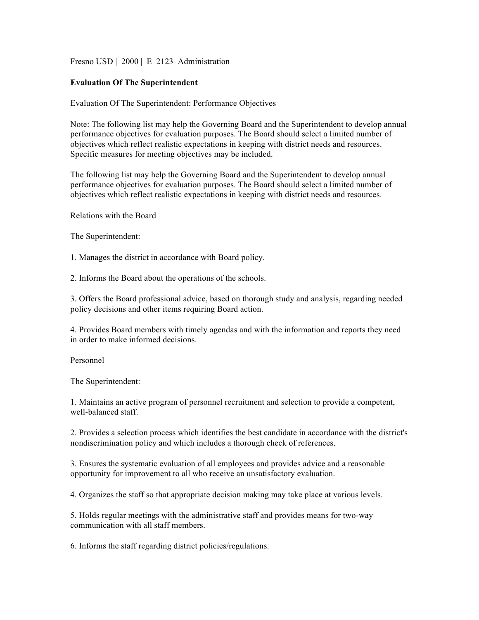Fresno USD | 2000 | E 2123 Administration

## **Evaluation Of The Superintendent**

Evaluation Of The Superintendent: Performance Objectives

Note: The following list may help the Governing Board and the Superintendent to develop annual performance objectives for evaluation purposes. The Board should select a limited number of objectives which reflect realistic expectations in keeping with district needs and resources. Specific measures for meeting objectives may be included.

The following list may help the Governing Board and the Superintendent to develop annual performance objectives for evaluation purposes. The Board should select a limited number of objectives which reflect realistic expectations in keeping with district needs and resources.

Relations with the Board

The Superintendent:

1. Manages the district in accordance with Board policy.

2. Informs the Board about the operations of the schools.

3. Offers the Board professional advice, based on thorough study and analysis, regarding needed policy decisions and other items requiring Board action.

4. Provides Board members with timely agendas and with the information and reports they need in order to make informed decisions.

Personnel

The Superintendent:

1. Maintains an active program of personnel recruitment and selection to provide a competent, well-balanced staff.

2. Provides a selection process which identifies the best candidate in accordance with the district's nondiscrimination policy and which includes a thorough check of references.

3. Ensures the systematic evaluation of all employees and provides advice and a reasonable opportunity for improvement to all who receive an unsatisfactory evaluation.

4. Organizes the staff so that appropriate decision making may take place at various levels.

5. Holds regular meetings with the administrative staff and provides means for two-way communication with all staff members.

6. Informs the staff regarding district policies/regulations.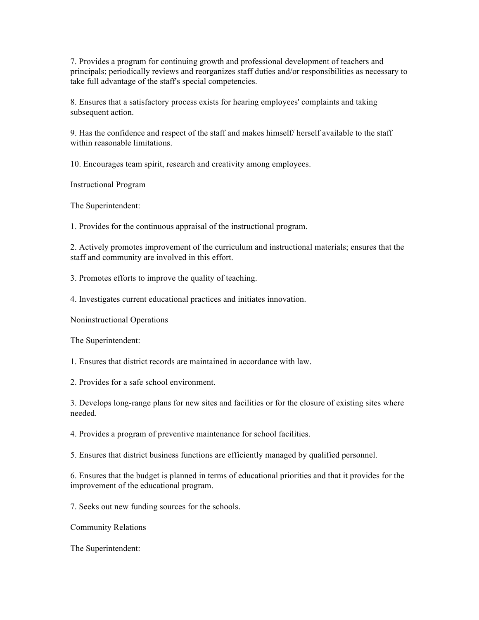7. Provides a program for continuing growth and professional development of teachers and principals; periodically reviews and reorganizes staff duties and/or responsibilities as necessary to take full advantage of the staff's special competencies.

8. Ensures that a satisfactory process exists for hearing employees' complaints and taking subsequent action.

9. Has the confidence and respect of the staff and makes himself/ herself available to the staff within reasonable limitations.

10. Encourages team spirit, research and creativity among employees.

Instructional Program

The Superintendent:

1. Provides for the continuous appraisal of the instructional program.

2. Actively promotes improvement of the curriculum and instructional materials; ensures that the staff and community are involved in this effort.

3. Promotes efforts to improve the quality of teaching.

4. Investigates current educational practices and initiates innovation.

Noninstructional Operations

The Superintendent:

1. Ensures that district records are maintained in accordance with law.

2. Provides for a safe school environment.

3. Develops long-range plans for new sites and facilities or for the closure of existing sites where needed.

4. Provides a program of preventive maintenance for school facilities.

5. Ensures that district business functions are efficiently managed by qualified personnel.

6. Ensures that the budget is planned in terms of educational priorities and that it provides for the improvement of the educational program.

7. Seeks out new funding sources for the schools.

Community Relations

The Superintendent: